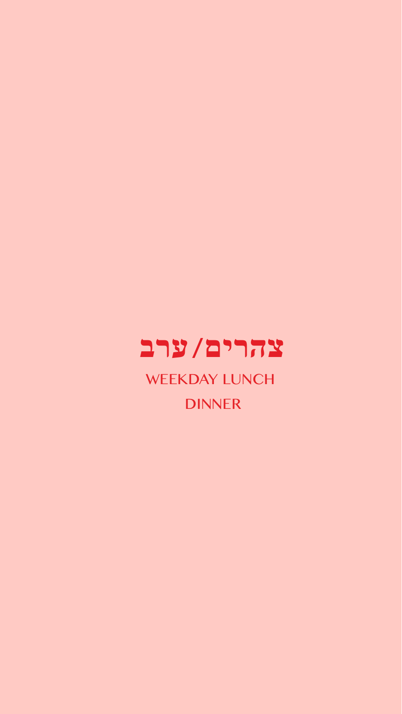

WEEKDAY LUNCH DINNER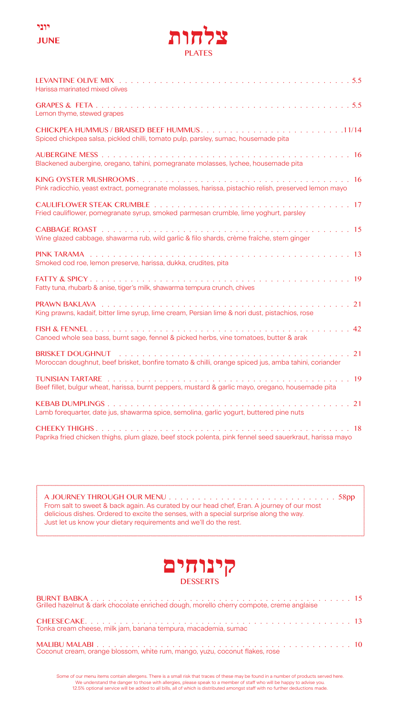



| Harissa marinated mixed olives                                                                                               |
|------------------------------------------------------------------------------------------------------------------------------|
| Lemon thyme, stewed grapes                                                                                                   |
| Spiced chickpea salsa, pickled chilli, tomato pulp, parsley, sumac, housemade pita                                           |
| Blackened aubergine, oregano, tahini, pomegranate molasses, lychee, housemade pita                                           |
| Pink radicchio, yeast extract, pomegranate molasses, harissa, pistachio relish, preserved lemon mayo                         |
| Fried cauliflower, pomegranate syrup, smoked parmesan crumble, lime yoghurt, parsley                                         |
| Wine glazed cabbage, shawarma rub, wild garlic & filo shards, crème fraîche, stem ginger                                     |
| Smoked cod roe, lemon preserve, harissa, dukka, crudites, pita                                                               |
| Fatty tuna, rhubarb & anise, tiger's milk, shawarma tempura crunch, chives                                                   |
| King prawns, kadaif, bitter lime syrup, lime cream, Persian lime & nori dust, pistachios, rose                               |
| Canoed whole sea bass, burnt sage, fennel & picked herbs, vine tomatoes, butter & arak                                       |
| Moroccan doughnut, beef brisket, bonfire tomato & chilli, orange spiced jus, amba tahini, coriander                          |
| <b>TUNISIAN TARTARE</b><br>Beef fillet, bulgur wheat, harissa, burnt peppers, mustard & garlic mayo, oregano, housemade pita |
| Lamb forequarter, date jus, shawarma spice, semolina, garlic yogurt, buttered pine nuts                                      |
| CHEFKY THIGHS.<br>Paprika fried chicken thighs, plum glaze, beef stock polenta, pink fennel seed sauerkraut, harissa mayo    |

#### A JOURNEY THROUGH OUR MENU . . . . . . . . . . . . .  $\ldots$  . . . . . . 58pp and a straight and From salt to sweet & back again. As curated by our head chef, Eran. A journey of our most delicious dishes. Ordered to excite the senses, with a special surprise along the way. Just let us know your dietary requirements and we'll do the rest.



| Grilled hazelnut & dark chocolate enriched dough, morello cherry compote, creme anglaise |  |
|------------------------------------------------------------------------------------------|--|
| Tonka cream cheese, milk jam, banana tempura, macademia, sumac                           |  |
| Coconut cream, orange blossom, white rum, mango, yuzu, coconut flakes, rose              |  |

Some of our menu items contain allergens. There is a small risk that traces of these may be found in a number of products served here.<br>We understand the danger to those with allergies, please speak to a member of staff who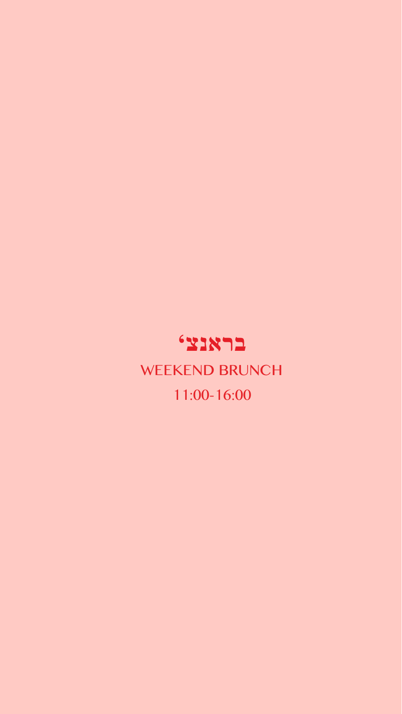## WEEKEND BRUNCH 11:00-16:00 **בראנצ'**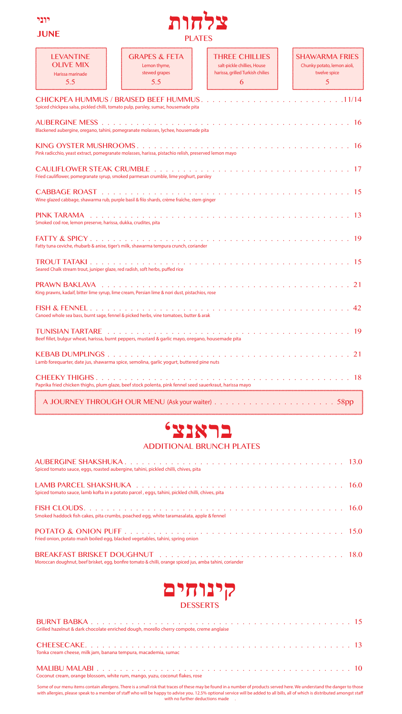

### **JUNE**



| <b>LEVANTINE</b><br>OI IVE MIX<br>Harissa marinade<br>5.5      | <b>GRAPES &amp; FETA</b><br>Lemon thyme,<br>stewed grapes<br>5.5                                        | THREE CHILLIES<br>salt-pickle chillies, House<br>harissa, grilled Turkish chilies<br>6 | <b>SHAWARMA FRIFS</b><br>Chunky potato, lemon aioli,<br>twelve spice<br>5 |
|----------------------------------------------------------------|---------------------------------------------------------------------------------------------------------|----------------------------------------------------------------------------------------|---------------------------------------------------------------------------|
|                                                                | Spiced chickpea salsa, pickled chilli, tomato pulp, parsley, sumac, housemade pita                      | <b>CHICKPEA HUMMUS / BRAISED BEEF HUMMUS11/14</b>                                      |                                                                           |
|                                                                | Blackened aubergine, oregano, tahini, pomegranate molasses, lychee, housemade pita                      |                                                                                        |                                                                           |
|                                                                | Pink radicchio, yeast extract, pomegranate molasses, harissa, pistachio relish, preserved lemon mayo    |                                                                                        | 16                                                                        |
|                                                                | Fried cauliflower, pomegranate syrup, smoked parmesan crumble, lime yoghurt, parsley                    |                                                                                        |                                                                           |
|                                                                | Wine glazed cabbage, shawarma rub, purple basil & filo shards, crème fraîche, stem ginger               |                                                                                        |                                                                           |
| Smoked cod roe, lemon preserve, harissa, dukka, crudites, pita |                                                                                                         |                                                                                        | 13                                                                        |
|                                                                | Fatty tuna ceviche, rhubarb & anise, tiger's milk, shawarma tempura crunch, coriander                   |                                                                                        |                                                                           |
|                                                                | Seared Chalk stream trout, juniper glaze, red radish, soft herbs, puffed rice                           |                                                                                        | 15                                                                        |
|                                                                | King prawns, kadaif, bitter lime syrup, lime cream, Persian lime & nori dust, pistachios, rose          |                                                                                        |                                                                           |
|                                                                | Canoed whole sea bass, burnt sage, fennel & picked herbs, vine tomatoes, butter & arak                  |                                                                                        | 42                                                                        |
|                                                                | Beef fillet, bulgur wheat, harissa, burnt peppers, mustard & garlic mayo, oregano, housemade pita       |                                                                                        | -19                                                                       |
|                                                                | Lamb forequarter, date jus, shawarma spice, semolina, garlic yogurt, buttered pine nuts                 |                                                                                        |                                                                           |
|                                                                | Paprika fried chicken thighs, plum glaze, beef stock polenta, pink fennel seed sauerkraut, harissa mayo |                                                                                        |                                                                           |
|                                                                |                                                                                                         |                                                                                        |                                                                           |



### **ADDITIONAL BRUNCH PLATES**

| Spiced tomato sauce, eggs, roasted aubergine, tahini, pickled chilli, chives, pita                       |  |
|----------------------------------------------------------------------------------------------------------|--|
| Spiced tomato sauce, lamb kofta in a potato parcel, eggs, tahini, pickled chilli, chives, pita           |  |
| Smoked haddock fish cakes, pita crumbs, poached egg, white taramasalata, apple & fennel                  |  |
| Fried onion, potato mash boiled egg, blacked vegetables, tahini, spring onion                            |  |
| Moroccan doughnut, beef brisket, egg, bonfire tomato & chilli, orange spiced jus, amba tahini, coriander |  |



| Grilled hazelnut & dark chocolate enriched dough, morello cherry compote, creme anglaise |  |
|------------------------------------------------------------------------------------------|--|
| Tonka cream cheese, milk jam, banana tempura, macademia, sumac                           |  |
| Coconut cream, orange blossom, white rum, mango, yuzu, coconut flakes, rose              |  |

Some of our menu items contain allergens. There is a small risk that traces of these may be found in a number of products served here. We understand the danger to those with allergies, please speak to a member of staff who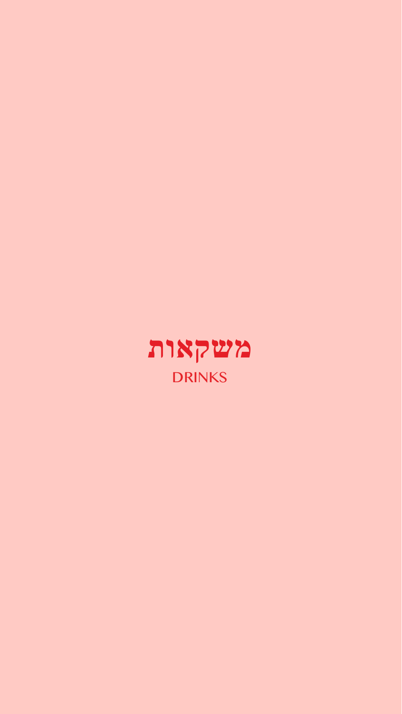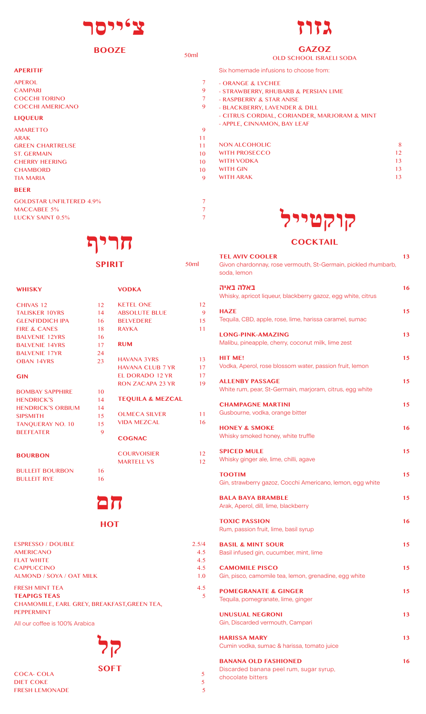

### **BOOZE**

| <b>APERITIF</b>                 |                |
|---------------------------------|----------------|
| <b>APEROL</b>                   | 7              |
| <b>CAMPARI</b>                  | 9              |
| <b>COCCHI TORINO</b>            | $\overline{7}$ |
| <b>COCCHI AMERICANO</b>         | 9              |
| <b>LIQUEUR</b>                  |                |
| <b>AMARETTO</b>                 | 9              |
| <b>ARAK</b>                     | 11             |
| <b>GREEN CHARTREUSE</b>         | 11             |
| <b>ST. GERMAIN</b>              | 10             |
| <b>CHERRY HEERING</b>           | 10             |
| <b>CHAMBORD</b>                 | 10             |
| <b>TIA MARIA</b>                | 9              |
| <b>BEER</b>                     |                |
| <b>GOLDSTAR UNFILTERED 4.9%</b> | $\overline{7}$ |
| MAACCADEE E0/                   | $\overline{ }$ |

### MACCABEE 5% 7<br>LUCKY SAINT 0.5% 7 LUCKY SAINT 0.5%

## **חריף**

| .,<br>v | ٠ | ٦ |  |
|---------|---|---|--|
|         |   |   |  |

**VODKA**

**RAYKA RUM**

KETEL ONE 12<br>ABSOLUTE BLUE 9 ABSOLUTE BLUE 9<br>BELVEDERE 15 BELVEDERE 15<br>RAYKA 11

50ml

HAVANA 3YRS 13<br>HAVANA CLUB 7 YR 17 HAVANA CLUB 7 YR 17<br>EL DORADO 12 YR 17 EL DORADO 12 YR 17<br>RON ZACAPA 23 YR 19 RON ZACAPA 23 YR **TEQUILA & MEZCAL**

OLMECA SILVER 11<br>VIDA MEZCAL 16

COURVOISIER 12<br>
MARTELL VS 12

**VIDA MEZCAL COGNAC**

**MARTELL VS** 

| CHIVAS <sub>12</sub>    | 12 |
|-------------------------|----|
| <b>TALISKER 10YRS</b>   | 14 |
| <b>GLENEIDDICH IPA</b>  | 16 |
| <b>FIRE &amp; CANES</b> | 18 |
| <b>BALVENIE 12YRS</b>   | 16 |
| <b>BALVENIE 14YRS</b>   | 17 |

**WHISKY**

| <b>BALVENIE 14YRS</b>  | 17 |
|------------------------|----|
| <b>BALVENIE 17YR</b>   | 24 |
| <b>OBAN 14YRS</b>      | 23 |
| GIN                    |    |
| <b>BOMBAY SAPPHIRE</b> | 10 |
| <b>HENDRICK'S</b>      | 14 |
|                        |    |

HENDRICK'S ORBIUM 14 SIPSMITH 15<br>TANOUERAY NO. 10 15 TANQUERAY NO. 10 15<br>BEEFFATER 9 **BEFFEATER** 

**BOURBON** 

BULLEIT BOURBON 16<br>BULLEIT RYE 16 **BULLEIT RYE** 

# **חם**

### **HOT**

| <b>ESPRESSO / DOUBLE</b>                    | 2.5/4 |
|---------------------------------------------|-------|
| <b>AMERICANO</b>                            | 4.5   |
| <b>FLAT WHITE</b>                           | 4.5   |
| <b>CAPPUCCINO</b>                           | 4.5   |
| ALMOND / SOYA / OAT MILK                    | 1.0   |
| <b>FRESH MINT TEA</b>                       | 4.5   |
| <b>TEAPIGS TEAS</b>                         | 5     |
| CHAMOMILE, EARL GREY, BREAKFAST, GREEN TEA, |       |
| <b>PEPPERMINT</b>                           |       |
| All our coffee is 100% Arabica              |       |

**קל**

**SOFT**

COCA- COLA 5 SUIT 5 5 5 5 5 5 5 5 6 7 7 7 8 7 7 8 7 7 8 7 7 8 7 7 8 7 7 8 7 8 7 7 8 7 7 8 7 8 7 8 7 8 7 8 7 8 7 8 7 8 7 8 7 8 7 8 7 8 7 8 7 8 7 8 7 8 7 8 7 8 7 8 7 8 7 8 7 8 7 8 7 8 7 8 7 8 7 8 7 8 7 8 7 8 7 8 7 8 7 8 7 8 DIET COKE 5<br>
FRESH LEMONADE 5 FRESH LEMONADE



### **GAZOZ** OLD SCHOOL ISRAELI SODA

Six homemade infusions to choose from:

- ORANGE & LYCHEE

50ml

- STRAWBERRY, RHUBARB & PERSIAN LIME
- RASPBERRY & STAR ANISE
- BLACKBERRY, LAVENDER & DILL
	- CITRUS CORDIAL, CORIANDER, MARJORAM & MINT
	- APPLE, CINNAMON, BAY LEAF

| <b>NON ALCOHOLIC</b> | 8  |
|----------------------|----|
| <b>WITH PROSECCO</b> | 12 |
| <b>WITH VODKA</b>    | 13 |
| <b>WITH GIN</b>      | 13 |
| <b>WITH ARAK</b>     | 13 |
|                      |    |

# **קוקטייניקטייל**

| <b>COCKTAIL</b>                                                                                         |    |
|---------------------------------------------------------------------------------------------------------|----|
| <b>TEL AVIV COOLER</b><br>Givon chardonnay, rose vermouth, St-Germain, pickled rhumbarb,<br>soda, lemon | 13 |
| באלה באיה<br>Whisky, apricot liqueur, blackberry gazoz, egg white, citrus                               | 16 |
| HAZE<br>Tequila, CBD, apple, rose, lime, harissa caramel, sumac                                         | 15 |
| <b>LONG-PINK-AMAZING</b><br>Malibu, pineapple, cherry, coconut milk, lime zest                          | 13 |
| <b>HIT ME!</b><br>Vodka, Aperol, rose blossom water, passion fruit, lemon                               | 15 |
| <b>ALLENBY PASSAGE</b><br>White rum, pear, St-Germain, marjoram, citrus, egg white                      | 15 |
| <b>CHAMPAGNE MARTINI</b><br>Gusbourne, vodka, orange bitter                                             | 15 |
| <b>HONEY &amp; SMOKE</b><br>Whisky smoked honey, white truffle                                          | 16 |
| <b>SPICED MULE</b><br>Whisky ginger ale, lime, chilli, agave                                            | 15 |
| <b>TOOTIM</b><br>Gin, strawberry gazoz, Cocchi Americano, lemon, egg white                              | 15 |
| <b>BALA BAYA BRAMBLE</b><br>Arak, Aperol, dill, lime, blackberry                                        | 15 |
| <b>TOXIC PASSION</b><br>Rum, passion fruit, lime, basil syrup                                           | 16 |
| <b>BASIL &amp; MINT SOUR</b><br>Basil infused gin, cucumber, mint, lime                                 | 15 |
| <b>CAMOMILE PISCO</b><br>Gin, pisco, camomile tea, lemon, grenadine, egg white                          | 15 |
| <b>POMEGRANATE &amp; GINGER</b><br>Tequila, pomegranate, lime, ginger                                   | 15 |
| <b>UNUSUAL NEGRONI</b><br>Gin, Discarded vermouth, Campari                                              | 13 |
| <b>HARISSA MARY</b><br>Cumin vodka, sumac & harissa, tomato juice                                       | 13 |
| <b>BANANA OLD FASHIONED</b><br>Discarded banana peel rum, sugar syrup,                                  | 16 |

chocolate bitters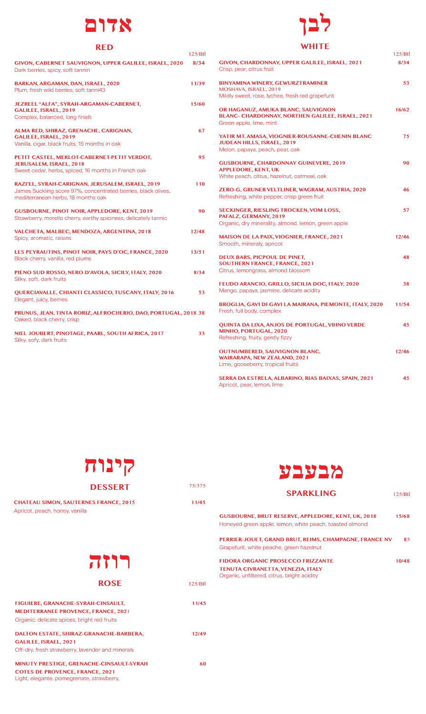### **אדום**

### **RED**

| NLD                                                                                                                                                     | 125/Btl |  |
|---------------------------------------------------------------------------------------------------------------------------------------------------------|---------|--|
|                                                                                                                                                         |         |  |
| GIVON, CABERNET SAUVIGNON, UPPER GALILEE, ISRAEL, 2020<br>Dark berries, spicy, soft tannin                                                              | 8/34    |  |
| BARKAN, ARGAMAN, DAN, ISRAEL, 2020<br>Plum, fresh wild berries, soft tanni43                                                                            | 11/39   |  |
| JEZREEL "ALFA", SYRAH-ARGAMAN-CABERNET,<br>GALILEE, ISRAEL, 2019<br>Complex, balanced, long finish                                                      | 15/60   |  |
| ALMA RED, SHIRAZ, GRENACHE, CARIGNAN,<br>GALILEE, ISRAEL, 2019<br>Vanilla, cigar, black fruits, 15 months in oak                                        | 67      |  |
| PETIT CASTEL, MERLOT-CABERNET-PETIT VERDOT,<br>JERUSALEM, ISRAEL, 2018<br>Sweet cedar, herbs, spiced, 16 months in French oak                           | 95      |  |
| RAZI'EL, SYRAH-CARIGNAN, JERUSALEM, ISRAEL, 2019<br>James Suckling score 97%, concentrated berries, black olives,<br>mediterranean herbs, 18 months oak | 110     |  |
| <b>GUSBOURNE, PINOT NOIR, APPLEDORE, KENT, 2019</b><br>Strawberry, morello cherry, earthy spiciness, delicately tannic                                  | 90      |  |
| VALCHETA, MALBEC, MENDOZA, ARGENTINA, 2018<br>Spicy, aromatic, raisins                                                                                  | 12/48   |  |
| LES PEYRAUTINS, PINOT NOIR, PAYS D'OC, FRANCE, 2020<br>Black cherry, vanilla, red plums                                                                 | 13/51   |  |
| PIENO SUD ROSSO, NERO D'AVOLA, SICILY, ITALY, 2020<br>Silky, soft, dark fruits                                                                          | 8/34    |  |
| QUERCIAVALLE, CHIANTI CLASSICO, TUSCANY, ITALY, 2016<br>Elegant, juicy, berries                                                                         | 53      |  |
| PRUNUS, JEAN, TINTA RORIZ, ALFROCHERIO, DAO, PORTUGAL, 2018 38<br>Oaked, black cherry, crisp                                                            |         |  |
| NIEL JOUBERT, PINOTAGE, PAARL, SOUTH AFRICA, 2017<br>Silky, sofy, dark fruits                                                                           | 33      |  |
|                                                                                                                                                         |         |  |

# **לבן**

### **WHITE**

|                                                                                                                               | 125/Btl |
|-------------------------------------------------------------------------------------------------------------------------------|---------|
| GIVON, CHARDONNAY, UPPER GALILEE, ISRAEL, 2021<br>Crisp, pear, citrus fruit                                                   | 8/34    |
| <b>BINYAMINA WINERY, GEWURZTRAMINER</b><br>MOSHAVA, ISRAEL, 2019<br>Mildly sweet, rose, lychee, fresh red grapefurit          | 53      |
| OR HAGANUZ, AMUKA BLANC, SAUVIGNON<br>BLANC- CHARDONNAY, NORTHEN GALILEE, ISRAEL, 2021<br>Green apple, lime, mint             | 16/62   |
| YATIR MT. AMASA, VIOGNIER-ROUSANNE-CHENIN BLANC<br>JUDEAN HILLS, ISRAEL, 2019<br>Melon, papaya, peach, pear, oak              | 75      |
| <b>GUSBOURNE, CHARDONNAY GUINEVERE, 2019</b><br><b>APPLEDORE, KENT, UK</b>                                                    | 90      |
| White peach, citrus, hazelnut, oatmeal, oak                                                                                   |         |
| ZERO-G, GRUNER VELTLINER, WAGRAM, AUSTRIA, 2020<br>Refreshing, white pepper, crisp green fruit                                | 46      |
| <b>SECKINGER, RIESLING TROCKEN, VOM LOSS,</b><br>PAFALZ, GERMANY, 2019<br>Organic, dry minerality, almond, lemon, green apple | 57      |
| <b>MAISON DE LA PAIX, VIOGNIER, FRANCE, 2021</b><br>Smooth, mineraly, apricot                                                 | 12/46   |
| <b>DEUX BARS, PICPOUL DE PINET,</b><br><b>SOUTHERN FRANCE, FRANCE, 2021</b><br>Citrus, lemongrass, almond blossom             | 48      |
| FEUDO ARANCIO, GRILLO, SICILIA DOC, ITALY, 2020<br>Mango, papaya, jasmine, delicate acidity                                   | 38      |
| BROGLIA, GAVI DI GAVI LA MAIRANA, PIEMONTE, ITALY, 2020<br>Fresh, full body, complex                                          | 11/54   |
| <b>QUINTA DA LIXA, ANJOS DE PORTUGAL, VIHNO VERDE</b><br>MINHO, PORTUGAL, 2020<br>Refreshing, fruity, gently fizzy            | 45      |
| <b>OUTNUMBERED, SAUVIGNON BLANC,</b><br>WAIRARAPA, NEW ZEALAND, 2021<br>Lime, gooseberry, tropical fruits                     | 12/46   |
| SERRA DA ESTRELA, ALBARINO, RIAS BAIXAS, SPAIN, 2021<br>Apricot, pear, lemon, lime                                            | 45      |



# **רוזה**

**ROSE**

### FIGUIERE, GRANACHE-SYRAH-CINSAULT, 11/45 **MEDITERRANEE PROVENCE, FRANCE, 202**1 Organic, delicate spices, bright red fruits **DALTON ESTATE, SHIRAZ-GRANACHE-BARBERA, 12/49 GALILEE, ISRAEL, 2021** Off-dry, fresh strawberry, lavender and minerals **MINUTY PRESTIGE, GRENACHE-CINSAULT-SYRAH 60 COTES DE PROVENCE, FRANCE, 2021**

Light, elegante, pomegrenate, strawberry,

| מבעבע  |                                                                                                                      |                    |  |
|--------|----------------------------------------------------------------------------------------------------------------------|--------------------|--|
| 75/375 |                                                                                                                      |                    |  |
|        | <b>SPARKLING</b>                                                                                                     | 125/ <sub>BL</sub> |  |
| 11/45  |                                                                                                                      |                    |  |
|        | <b>GUSBOURNE, BRUT RESERVE, APPLEDORE, KENT, UK, 2018</b><br>Honeyed green apple, lemon, white peach, toasted almond | 15/68              |  |
|        | PERRIER-JOUET, GRAND BRUT, REIMS, CHAMPAGNE, FRANCE NV                                                               | 85                 |  |
|        | Grapefurit, white peache, green hazelnut                                                                             |                    |  |
|        | <b>FIDORA ORGANIC PROSECCO FRIZZANTE</b><br>TENUTA CIVRANETTA, VENEZIA, ITALY                                        | 10/48              |  |
|        | Organic, unfiltered, citrus, bright acidity                                                                          |                    |  |
| 125/8t |                                                                                                                      |                    |  |
| 11/45  |                                                                                                                      |                    |  |
| 12/49  |                                                                                                                      |                    |  |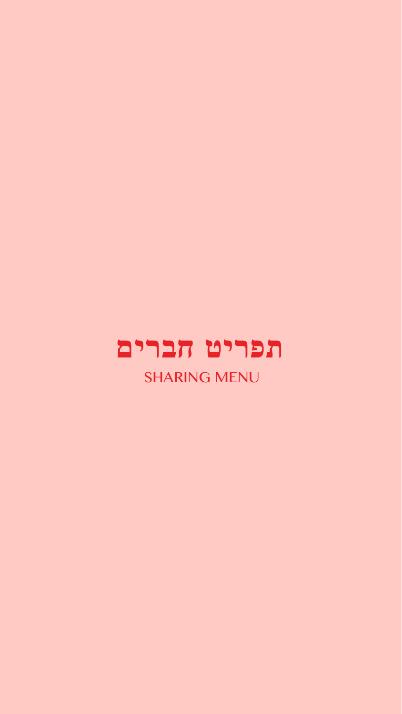

SHARING MENU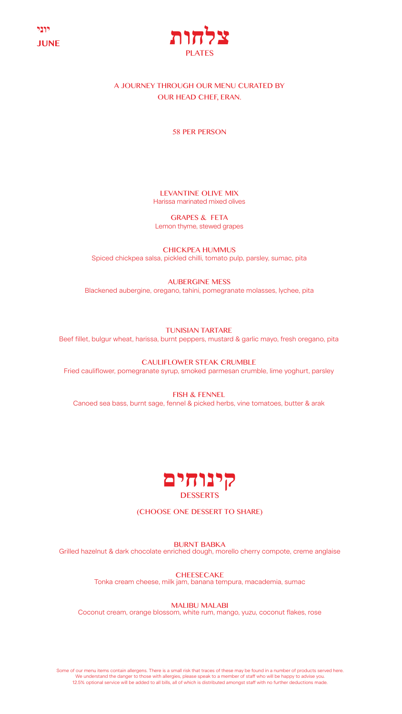



### A JOURNEY THROUGH OUR MENU CURATED BY OUR HEAD CHEF, ERAN.

58 PER PERSON

LEVANTINE OLIVE MIX Harissa marinated mixed olives

GRAPES & FETA Lemon thyme, stewed grapes

CHICKPEA HUMMUS Spiced chickpea salsa, pickled chilli, tomato pulp, parsley, sumac, pita

AUBERGINE MESS Blackened aubergine, oregano, tahini, pomegranate molasses, lychee, pita

TUNISIAN TARTARE Beef fillet, bulgur wheat, harissa, burnt peppers, mustard & garlic mayo, fresh oregano, pita

CAULIFLOWER STEAK CRUMBLE Fried cauliflower, pomegranate syrup, smoked parmesan crumble, lime yoghurt, parsley

FISH & FENNEL Canoed sea bass, burnt sage, fennel & picked herbs, vine tomatoes, butter & arak



(CHOOSE ONE DESSERT TO SHARE)

BURNT BABKA Grilled hazelnut & dark chocolate enriched dough, morello cherry compote, creme anglaise

> **CHEESECAKE** Tonka cream cheese, milk jam, banana tempura, macademia, sumac

> > MALIBU MALABI

Coconut cream, orange blossom, white rum, mango, yuzu, coconut flakes, rose

Some of our menu items contain allergens. There is a small risk that traces of these may be found in a number of products served here. We understand the danger to those with allergies, please speak to a member of staff who will be happy to advise you.<br>12.5% optional service will be added to all bills, all of which is distributed amongst staff with no furt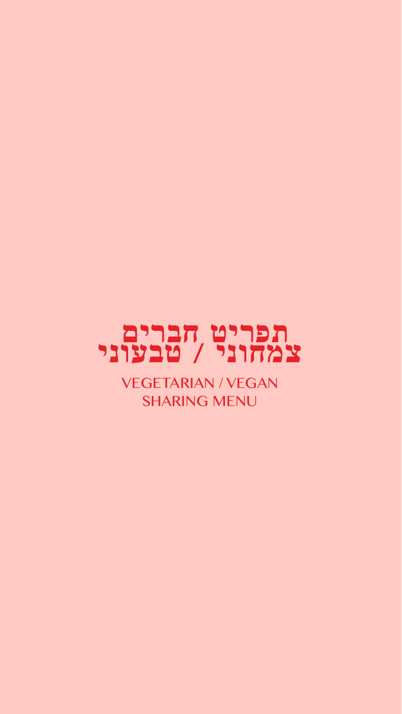

VEGETARIAN / VEGAN SHARING MENU